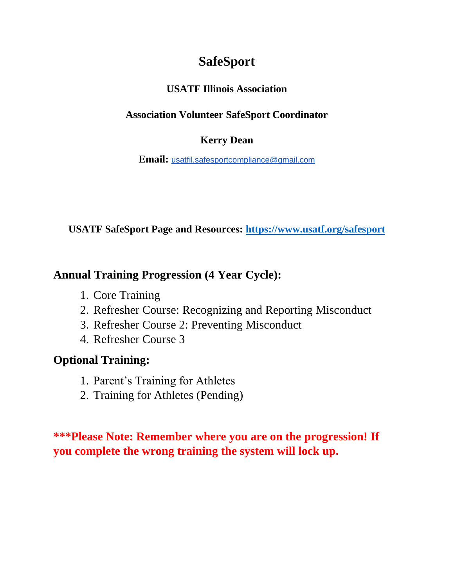# **SafeSport**

### **USATF Illinois Association**

### **Association Volunteer SafeSport Coordinator**

#### **Kerry Dean**

**Email:** [usatfil.safesportcompliance@gmail.com](mailto:usatfil.safesportcompliance@gmail.com)

**USATF SafeSport Page and Resources:<https://www.usatf.org/safesport>**

### **Annual Training Progression (4 Year Cycle):**

- 1. Core Training
- 2. Refresher Course: Recognizing and Reporting Misconduct
- 3. Refresher Course 2: Preventing Misconduct
- 4. Refresher Course 3

## **Optional Training:**

- 1. Parent's Training for Athletes
- 2. Training for Athletes (Pending)

**\*\*\*Please Note: Remember where you are on the progression! If you complete the wrong training the system will lock up.**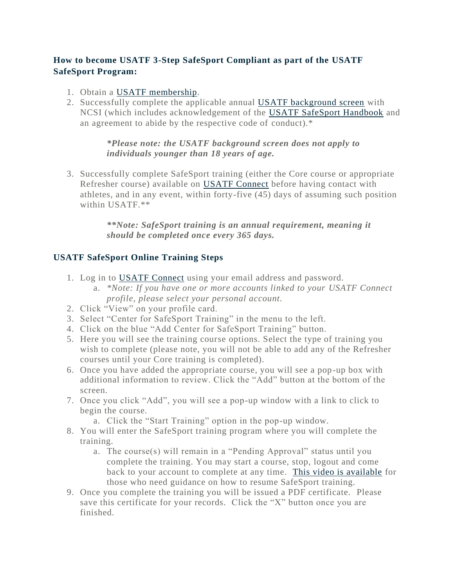#### **How to become USATF 3-Step SafeSport Compliant as part of the USATF SafeSport Program:**

- 1. Obtain a USATF [membership.](https://www.usatf.org/home/top-utility-nav-content/membership)
- 2. Successfully complete the applicable annual [USATF background screen](https://www.usatf.org/about/safesport/background-screening) with NCSI (which includes acknowledgement of the [USATF SafeSport Handbook](https://www.usatf.org/about/safesport/safesport-handbook) and an agreement to abide by the respective code of conduct).\*

*\*Please note: the USATF background screen does not apply to individuals younger than 18 years of age.*

3. Successfully complete SafeSport training (either the Core course or appropriate Refresher course) available on [USATF Connect](https://usatf.sport80.com/) before having contact with athletes, and in any event, within forty-five (45) days of assuming such position within USATF.\*\*

> *\*\*Note: SafeSport training is an annual requirement, meaning it should be completed once every 365 days.*

#### **USATF SafeSport Online Training Steps**

- 1. Log in to [USATF Connect](https://usatf.sport80.com/login) using your email address and password.
	- a. *\*Note: If you have one or more accounts linked to your USATF Connect profile, please select your personal account.*
- 2. Click "View" on your profile card.
- 3. Select "Center for SafeSport Training" in the menu to the left.
- 4. Click on the blue "Add Center for SafeSport Training" button.
- 5. Here you will see the training course options. Select the type of training you wish to complete (please note, you will not be able to add any of the Refresher courses until your Core training is completed).
- 6. Once you have added the appropriate course, you will see a pop-up box with additional information to review. Click the "Add" button at the bottom of the screen.
- 7. Once you click "Add", you will see a pop-up window with a link to click to begin the course.
	- a. Click the "Start Training" option in the pop-up window.
- 8. You will enter the SafeSport training program where you will complete the training.
	- a. The course(s) will remain in a "Pending Approval" status until you complete the training. You may start a course, stop, logout and come back to your account to complete at any time. [This video is available](https://vimeopro.com/user44435707/usatf-connect-member-tutorials/video/422807391) for those who need guidance on how to resume SafeSport training.
- 9. Once you complete the training you will be issued a PDF certificate. Please save this certificate for your records. Click the "X" button once you are finished.